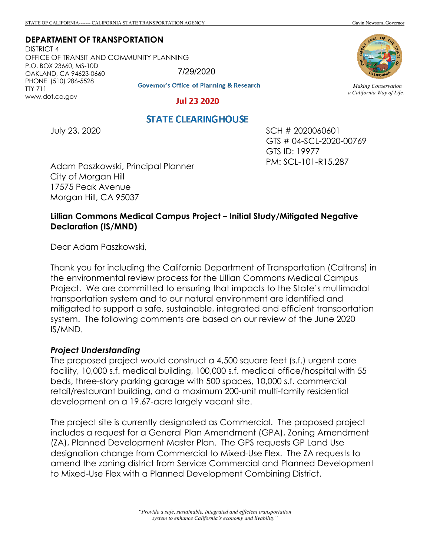**DEPARTMENT OF TRANSPORTATION**

July 23, 2020

DISTRICT 4 OFFICE OF TRANSIT AND COMMUNITY PLANNING P.O. BOX 23660, MS-10D OAKLAND, CA 94623-0660 PHONE (510) 286-5528 TTY 711 www.dot.ca.gov 7/29/2020

# **Governor's Office of Planning & Research**

#### **Jul 23 2020**

**STATE CLEARING HOUSE** 



*Making Conservation a California Way of Life.*

SCH # 2020060601

PM: SCL-101-R15.287

GTS ID: 19977

GTS # 04-SCL-2020-00769

Adam Paszkowski, Principal Planner City of Morgan Hill 17575 Peak Avenue Morgan Hill, CA 95037

# **Lillian Commons Medical Campus Project – Initial Study/Mitigated Negative Declaration (IS/MND)**

Dear Adam Paszkowski,

Thank you for including the California Department of Transportation (Caltrans) in the environmental review process for the Lillian Commons Medical Campus Project. We are committed to ensuring that impacts to the State's multimodal transportation system and to our natural environment are identified and mitigated to support a safe, sustainable, integrated and efficient transportation system. The following comments are based on our review of the June 2020 IS/MND.

# *Project Understanding*

The proposed project would construct a 4,500 square feet (s.f.) urgent care facility, 10,000 s.f. medical building, 100,000 s.f. medical office/hospital with 55 beds, three-story parking garage with 500 spaces, 10,000 s.f. commercial retail/restaurant building, and a maximum 200-unit multi-family residential development on a 19.67-acre largely vacant site.

The project site is currently designated as Commercial. The proposed project includes a request for a General Plan Amendment (GPA), Zoning Amendment (ZA), Planned Development Master Plan. The GPS requests GP Land Use designation change from Commercial to Mixed-Use Flex. The ZA requests to amend the zoning district from Service Commercial and Planned Development to Mixed-Use Flex with a Planned Development Combining District.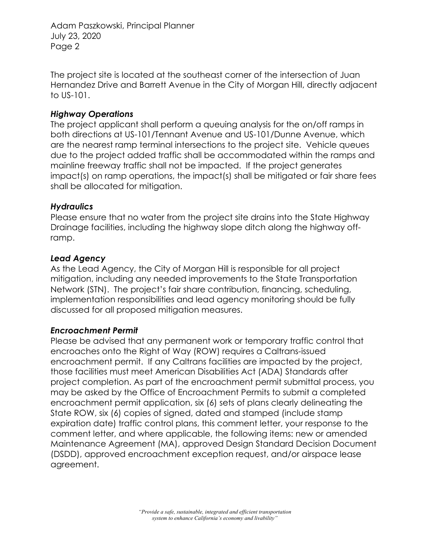Adam Paszkowski, Principal Planner July 23, 2020 Page 2

The project site is located at the southeast corner of the intersection of Juan Hernandez Drive and Barrett Avenue in the City of Morgan Hill, directly adjacent to US-101.

# *Highway Operations*

The project applicant shall perform a queuing analysis for the on/off ramps in both directions at US-101/Tennant Avenue and US-101/Dunne Avenue, which are the nearest ramp terminal intersections to the project site. Vehicle queues due to the project added traffic shall be accommodated within the ramps and mainline freeway traffic shall not be impacted. If the project generates impact(s) on ramp operations, the impact(s) shall be mitigated or fair share fees shall be allocated for mitigation.

# *Hydraulics*

Please ensure that no water from the project site drains into the State Highway Drainage facilities, including the highway slope ditch along the highway offramp.

# *Lead Agency*

As the Lead Agency, the City of Morgan Hill is responsible for all project mitigation, including any needed improvements to the State Transportation Network (STN). The project's fair share contribution, financing, scheduling, implementation responsibilities and lead agency monitoring should be fully discussed for all proposed mitigation measures.

# *Encroachment Permit*

Please be advised that any permanent work or temporary traffic control that encroaches onto the Right of Way (ROW) requires a Caltrans-issued encroachment permit. If any Caltrans facilities are impacted by the project, those facilities must meet American Disabilities Act (ADA) Standards after project completion. As part of the encroachment permit submittal process, you may be asked by the Office of Encroachment Permits to submit a completed encroachment permit application, six (6) sets of plans clearly delineating the State ROW, six (6) copies of signed, dated and stamped (include stamp expiration date) traffic control plans, this comment letter, your response to the comment letter, and where applicable, the following items: new or amended Maintenance Agreement (MA), approved Design Standard Decision Document (DSDD), approved encroachment exception request, and/or airspace lease agreement.